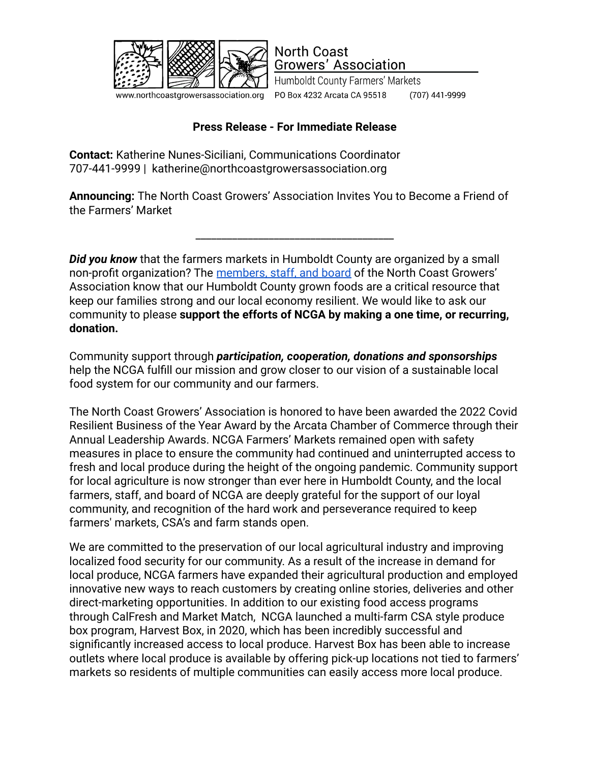

www.northcoastgrowersassociation.org

Humboldt County Farmers' Markets PO Box 4232 Arcata CA 95518 (707) 441-9999

## **Press Release - For Immediate Release**

**North Coast** 

**Growers' Association** 

**Contact:** Katherine Nunes-Siciliani, Communications Coordinator 707-441-9999 | katherine@northcoastgrowersassociation.org

**Announcing:** The North Coast Growers' Association Invites You to Become a Friend of the Farmers' Market

\_\_\_\_\_\_\_\_\_\_\_\_\_\_\_\_\_\_\_\_\_\_\_\_\_\_\_\_\_\_\_\_\_\_\_\_\_\_

**Did you know** that the farmers markets in Humboldt County are organized by a small non-profit organization? The [members, staff, and board](https://www.northcoastgrowersassociation.org/boardandstaff.html) of the North Coast Growers' Association know that our Humboldt County grown foods are a critical resource that keep our families strong and our local economy resilient. We would like to ask our community to please **support the efforts of NCGA by making a one time, or recurring, donation.**

Community support through *participation, cooperation, donations and sponsorships* help the NCGA fulfill our mission and grow closer to our vision of a sustainable local food system for our community and our farmers.

The North Coast Growers' Association is honored to have been awarded the 2022 Covid Resilient Business of the Year Award by the Arcata Chamber of Commerce through their Annual Leadership Awards. NCGA Farmers' Markets remained open with safety measures in place to ensure the community had continued and uninterrupted access to fresh and local produce during the height of the ongoing pandemic. Community support for local agriculture is now stronger than ever here in Humboldt County, and the local farmers, staff, and board of NCGA are deeply grateful for the support of our loyal community, and recognition of the hard work and perseverance required to keep farmers' markets, CSA's and farm stands open.

We are committed to the preservation of our local agricultural industry and improving localized food security for our community. As a result of the increase in demand for local produce, NCGA farmers have expanded their agricultural production and employed innovative new ways to reach customers by creating online stories, deliveries and other direct-marketing opportunities. In addition to our existing food access programs through CalFresh and Market Match, NCGA launched a multi-farm CSA style produce box program, Harvest Box, in 2020, which has been incredibly successful and significantly increased access to local produce. Harvest Box has been able to increase outlets where local produce is available by offering pick-up locations not tied to farmers' markets so residents of multiple communities can easily access more local produce.